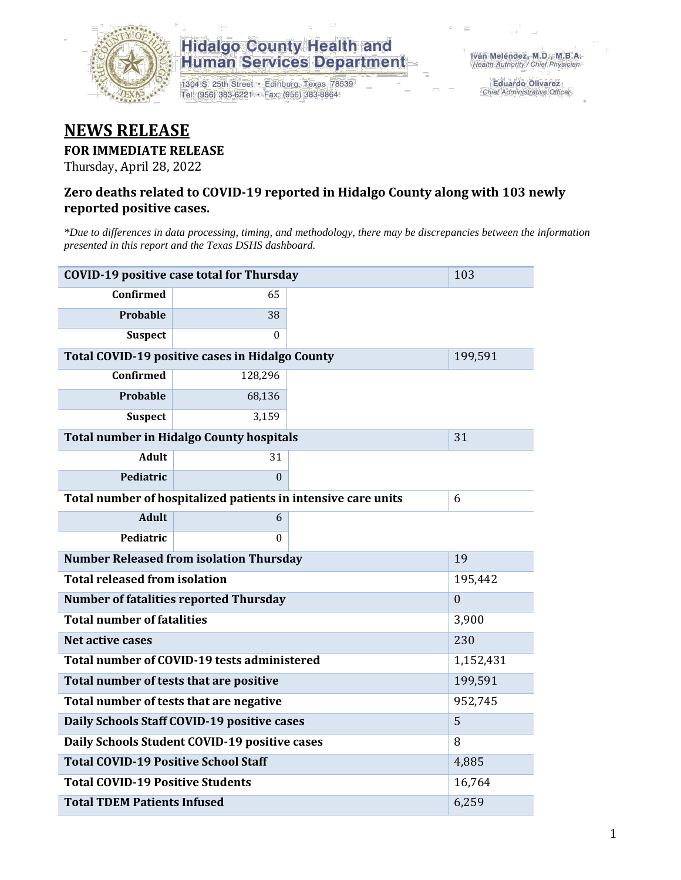

## **Hidalgo County Health and<br>Human Services Department**

1304 S. 25th Street · Edinburg, Texas 78539 Tel: (956) 383-6221 · Fax: (956) 383-8864

Eduardo Olivarez Chief Administrative Officer

## **NEWS RELEASE**

#### **FOR IMMEDIATE RELEASE**

Thursday, April 28, 2022

#### **Zero deaths related to COVID-19 reported in Hidalgo County along with 103 newly reported positive cases.**

*\*Due to differences in data processing, timing, and methodology, there may be discrepancies between the information presented in this report and the Texas DSHS dashboard.*

| <b>COVID-19 positive case total for Thursday</b>              | 103              |         |  |
|---------------------------------------------------------------|------------------|---------|--|
| <b>Confirmed</b>                                              | 65               |         |  |
| Probable                                                      | 38               |         |  |
| <b>Suspect</b>                                                | $\Omega$         |         |  |
| Total COVID-19 positive cases in Hidalgo County               |                  | 199,591 |  |
| <b>Confirmed</b>                                              | 128,296          |         |  |
| Probable                                                      | 68,136           |         |  |
| <b>Suspect</b>                                                | 3,159            |         |  |
| <b>Total number in Hidalgo County hospitals</b>               |                  | 31      |  |
| <b>Adult</b>                                                  | 31               |         |  |
| Pediatric                                                     | $\theta$         |         |  |
| Total number of hospitalized patients in intensive care units | 6                |         |  |
| <b>Adult</b>                                                  | 6                |         |  |
| Pediatric                                                     | $\theta$         |         |  |
| <b>Number Released from isolation Thursday</b>                |                  | 19      |  |
| <b>Total released from isolation</b>                          | 195,442          |         |  |
| <b>Number of fatalities reported Thursday</b>                 | $\boldsymbol{0}$ |         |  |
| <b>Total number of fatalities</b>                             | 3,900            |         |  |
| Net active cases                                              | 230              |         |  |
| Total number of COVID-19 tests administered                   | 1,152,431        |         |  |
| Total number of tests that are positive                       | 199,591          |         |  |
| Total number of tests that are negative                       | 952,745          |         |  |
| Daily Schools Staff COVID-19 positive cases                   | 5                |         |  |
| Daily Schools Student COVID-19 positive cases                 | 8                |         |  |
| <b>Total COVID-19 Positive School Staff</b>                   | 4,885            |         |  |
| <b>Total COVID-19 Positive Students</b>                       | 16,764           |         |  |
| <b>Total TDEM Patients Infused</b>                            | 6,259            |         |  |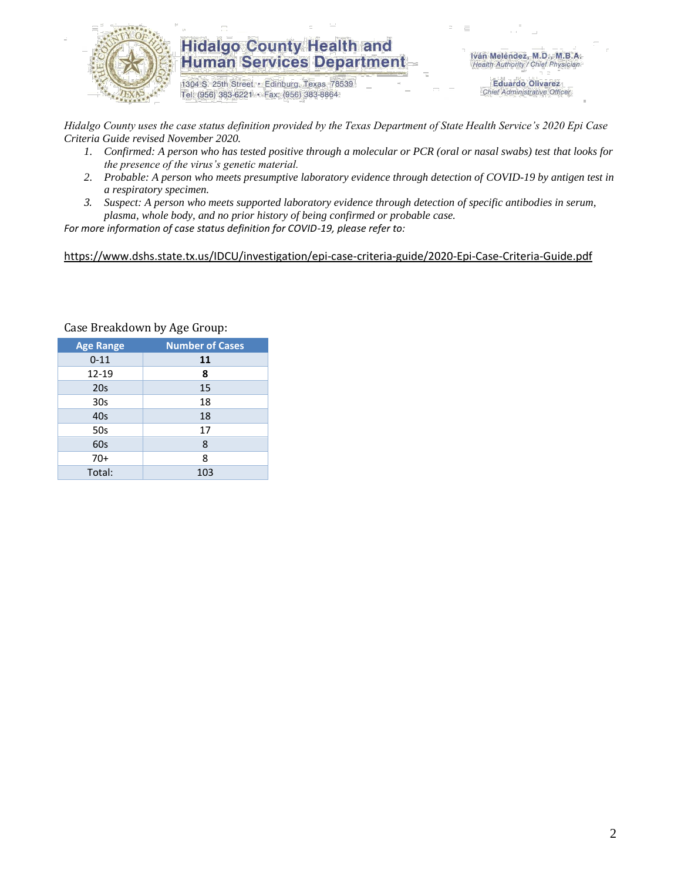

### **Hidalgo County Health and Human Services Department**

1304 S. 25th Street · Edinburg, Texas 78539 Tel: (956) 383-6221 · Fax: (956) 383-8864

Iván Meléndez, M.D., M.B.A. Health Authority / Chief Physician

> **Eduardo Olivarez** Chief Administrative Officer

*Hidalgo County uses the case status definition provided by the Texas Department of State Health Service's 2020 Epi Case Criteria Guide revised November 2020.*

- *1. Confirmed: A person who has tested positive through a molecular or PCR (oral or nasal swabs) test that looks for the presence of the virus's genetic material.*
- *2. Probable: A person who meets presumptive laboratory evidence through detection of COVID-19 by antigen test in a respiratory specimen.*
- *3. Suspect: A person who meets supported laboratory evidence through detection of specific antibodies in serum, plasma, whole body, and no prior history of being confirmed or probable case.*

*For more information of case status definition for COVID-19, please refer to:*

<https://www.dshs.state.tx.us/IDCU/investigation/epi-case-criteria-guide/2020-Epi-Case-Criteria-Guide.pdf>

| <b>Age Range</b> | <b>Number of Cases</b> |
|------------------|------------------------|
| $0 - 11$         | 11                     |
| 12-19            | 8                      |
| 20 <sub>s</sub>  | 15                     |
| 30 <sub>s</sub>  | 18                     |
| 40s              | 18                     |
| 50s              | 17                     |
| 60s              | 8                      |
| $70+$            | 8                      |
| Total:           | 103                    |

Case Breakdown by Age Group: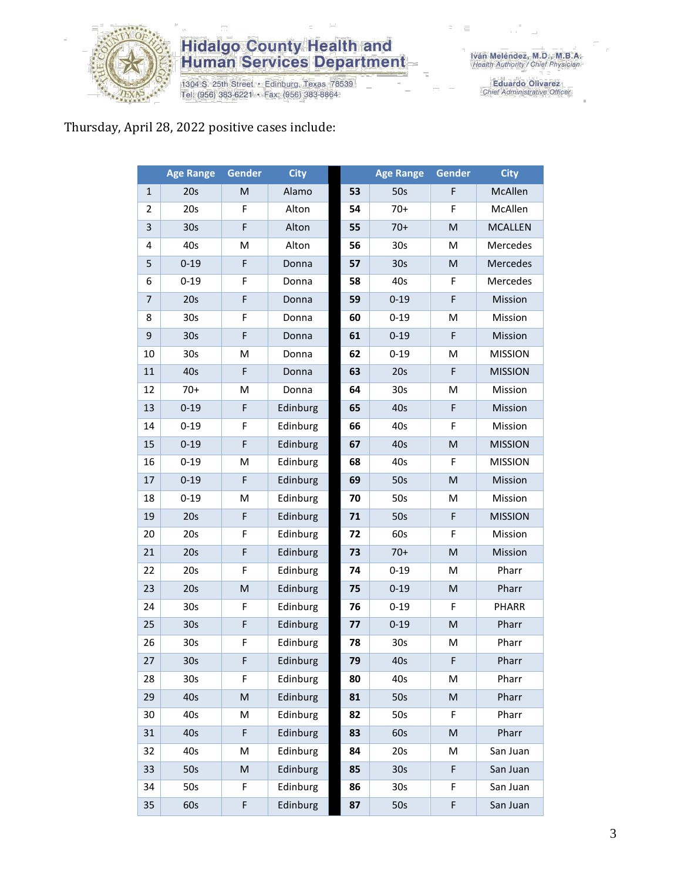

# **Hidalgo County Health and<br>Human Services Department**

1304 S. 25th Street • Edinburg, Texas 78539<br>Tel: (956) 383-6221 • Fax: (956) 383-8864

Eduardo Olivarez<br>Chief Administrative Officer

### Thursday, April 28, 2022 positive cases include:

|                | <b>Age Range</b> | <b>Gender</b> | <b>City</b> |    | <b>Age Range</b> | Gender      | <b>City</b>    |
|----------------|------------------|---------------|-------------|----|------------------|-------------|----------------|
| $\mathbf{1}$   | 20s              | M             | Alamo       | 53 | 50s              | F           | McAllen        |
| $\overline{2}$ | 20s              | $\mathsf F$   | Alton       | 54 | $70+$            | F           | McAllen        |
| 3              | 30 <sub>s</sub>  | F             | Alton       | 55 | $70+$            | M           | <b>MCALLEN</b> |
| 4              | 40s              | М             | Alton       | 56 | 30 <sub>s</sub>  | M           | Mercedes       |
| 5              | $0 - 19$         | F             | Donna       | 57 | 30 <sub>s</sub>  | M           | Mercedes       |
| 6              | $0 - 19$         | F             | Donna       | 58 | 40s              | F           | Mercedes       |
| $\overline{7}$ | 20s              | F             | Donna       | 59 | $0 - 19$         | $\mathsf F$ | Mission        |
| 8              | 30 <sub>s</sub>  | F             | Donna       | 60 | $0 - 19$         | M           | Mission        |
| 9              | 30 <sub>s</sub>  | F             | Donna       | 61 | $0 - 19$         | F           | Mission        |
| 10             | 30 <sub>s</sub>  | M             | Donna       | 62 | $0 - 19$         | M           | <b>MISSION</b> |
| 11             | 40s              | F             | Donna       | 63 | 20s              | F           | <b>MISSION</b> |
| 12             | $70+$            | M             | Donna       | 64 | 30 <sub>s</sub>  | M           | Mission        |
| 13             | $0 - 19$         | $\mathsf F$   | Edinburg    | 65 | 40s              | F           | Mission        |
| 14             | $0 - 19$         | F             | Edinburg    | 66 | 40s              | F           | Mission        |
| 15             | $0 - 19$         | F             | Edinburg    | 67 | 40s              | M           | <b>MISSION</b> |
| 16             | $0 - 19$         | M             | Edinburg    | 68 | 40s              | F           | <b>MISSION</b> |
| 17             | $0 - 19$         | F             | Edinburg    | 69 | 50s              | M           | Mission        |
| 18             | $0 - 19$         | M             | Edinburg    | 70 | 50s              | M           | Mission        |
| 19             | 20s              | F             | Edinburg    | 71 | 50s              | F           | <b>MISSION</b> |
| 20             | 20s              | F             | Edinburg    | 72 | 60s              | F           | Mission        |
| 21             | 20s              | F             | Edinburg    | 73 | $70+$            | M           | Mission        |
| 22             | 20s              | F             | Edinburg    | 74 | $0 - 19$         | M           | Pharr          |
| 23             | 20s              | M             | Edinburg    | 75 | $0 - 19$         | M           | Pharr          |
| 24             | 30 <sub>s</sub>  | F             | Edinburg    | 76 | $0 - 19$         | F           | PHARR          |
| 25             | 30 <sub>s</sub>  | F             | Edinburg    | 77 | $0 - 19$         | M           | Pharr          |
| 26             | 30s              | F             | Edinburg    | 78 | 30s              | M           | Pharr          |
| 27             | 30s              | F             | Edinburg    | 79 | 40s              | F           | Pharr          |
| 28             | 30s              | F             | Edinburg    | 80 | 40s              | M           | Pharr          |
| 29             | 40s              | M             | Edinburg    | 81 | 50s              | M           | Pharr          |
| 30             | 40s              | Μ             | Edinburg    | 82 | 50s              | F           | Pharr          |
| 31             | 40s              | F             | Edinburg    | 83 | 60s              | M           | Pharr          |
| 32             | 40s              | М             | Edinburg    | 84 | 20s              | M           | San Juan       |
| 33             | 50s              | M             | Edinburg    | 85 | 30 <sub>s</sub>  | F           | San Juan       |
| 34             | 50s              | F             | Edinburg    | 86 | 30 <sub>s</sub>  | F           | San Juan       |
| 35             | 60s              | F             | Edinburg    | 87 | 50s              | F           | San Juan       |